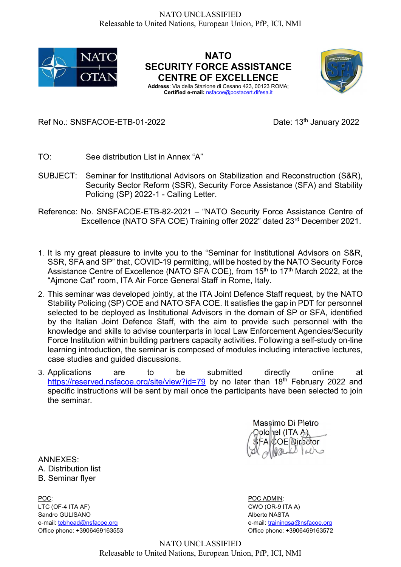

**NATO** SECURITY FORCE ASSISTANCE CENTRE OF EXCELLENCE Address: Via della Stazione di Cesano 423, 00123 ROMA; Certified e-mail: nsfacoe@postacert.difesa.it



Ref No.: SNSFACOE-ETB-01-2022 Date: 13<sup>th</sup> January 2022

TO: See distribution List in Annex "A"

- SUBJECT: Seminar for Institutional Advisors on Stabilization and Reconstruction (S&R), Security Sector Reform (SSR), Security Force Assistance (SFA) and Stability Policing (SP) 2022-1 - Calling Letter.
- Reference: No. SNSFACOE-ETB-82-2021 "NATO Security Force Assistance Centre of Excellence (NATO SFA COE) Training offer 2022" dated 23rd December 2021.
- 1. It is my great pleasure to invite you to the "Seminar for Institutional Advisors on S&R, SSR, SFA and SP" that, COVID-19 permitting, will be hosted by the NATO Security Force Assistance Centre of Excellence (NATO SFA COE), from 15<sup>th</sup> to 17<sup>th</sup> March 2022, at the "Ajmone Cat" room, ITA Air Force General Staff in Rome, Italy.
- 2. This seminar was developed jointly, at the ITA Joint Defence Staff request, by the NATO Stability Policing (SP) COE and NATO SFA COE. It satisfies the gap in PDT for personnel selected to be deployed as Institutional Advisors in the domain of SP or SFA, identified by the Italian Joint Defence Staff, with the aim to provide such personnel with the knowledge and skills to advise counterparts in local Law Enforcement Agencies/Security Force Institution within building partners capacity activities. Following a self-study on-line learning introduction, the seminar is composed of modules including interactive lectures, case studies and guided discussions.
- 3. Applications are to be submitted directly online at https://reserved.nsfacoe.org/site/view?id=79 by no later than 18<sup>th</sup> February 2022 and specific instructions will be sent by mail once the participants have been selected to join the seminar.

Massimo Di Pietro A) Isribolo COE Director  $MU$ 

ANNEXES: A. Distribution list B. Seminar flyer

POC: POC: POC ADMIN: LTC (OF-4 ITA AF) CWO (OR-9 ITA A) Sandro GULISANO Alberto NASTA e-mail: tebhead@nsfacoe.org e-mail: trainingsa@nsfacoe.org Office phone: +3906469163553 Office phone: +3906469163572

NATO UNCLASSIFIED Releasable to United Nations, European Union, PfP, ICI, NMI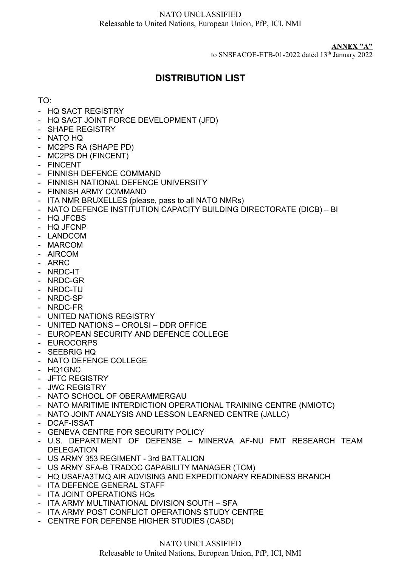ANNEX "A"

to SNSFACOE-ETB-01-2022 dated 13<sup>th</sup> January 2022

# DISTRIBUTION LIST

### TO:

- HQ SACT REGISTRY
- HQ SACT JOINT FORCE DEVELOPMENT (JFD)
- SHAPE REGISTRY
- NATO HQ
- MC2PS RA (SHAPE PD)
- MC2PS DH (FINCENT)
- FINCENT
- FINNISH DEFENCE COMMAND
- FINNISH NATIONAL DEFENCE UNIVERSITY
- FINNISH ARMY COMMAND
- ITA NMR BRUXELLES (please, pass to all NATO NMRs)
- NATO DEFENCE INSTITUTION CAPACITY BUILDING DIRECTORATE (DICB) BI
- HQ JFCBS
- HQ JFCNP
- LANDCOM
- MARCOM
- AIRCOM
- ARRC
- NRDC-IT
- NRDC-GR
- NRDC-TU
- NRDC-SP
- NRDC-FR
- UNITED NATIONS REGISTRY
- UNITED NATIONS OROLSI DDR OFFICE
- EUROPEAN SECURITY AND DEFENCE COLLEGE
- EUROCORPS
- SEEBRIG HQ
- NATO DEFENCE COLLEGE
- HQ1GNC
- JFTC REGISTRY
- JWC REGISTRY
- NATO SCHOOL OF OBERAMMERGAU
- NATO MARITIME INTERDICTION OPERATIONAL TRAINING CENTRE (NMIOTC)
- NATO JOINT ANALYSIS AND LESSON LEARNED CENTRE (JALLC)
- DCAF-ISSAT
- GENEVA CENTRE FOR SECURITY POLICY
- U.S. DEPARTMENT OF DEFENSE MINERVA AF-NU FMT RESEARCH TEAM DELEGATION
- US ARMY 353 REGIMENT 3rd BATTALION
- US ARMY SFA-B TRADOC CAPABILITY MANAGER (TCM)
- HQ USAF/A3TMQ AIR ADVISING AND EXPEDITIONARY READINESS BRANCH
- ITA DEFENCE GENERAL STAFF
- ITA JOINT OPERATIONS HQs
- ITA ARMY MULTINATIONAL DIVISION SOUTH SFA
- ITA ARMY POST CONFLICT OPERATIONS STUDY CENTRE
- CENTRE FOR DEFENSE HIGHER STUDIES (CASD)

## NATO UNCLASSIFIED

Releasable to United Nations, European Union, PfP, ICI, NMI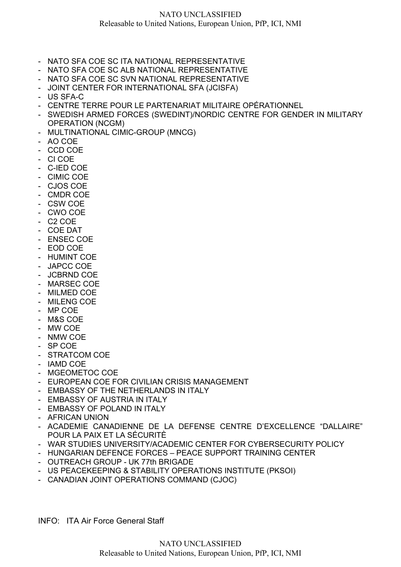### NATO UNCLASSIFIED Releasable to United Nations, European Union, PfP, ICI, NMI

- NATO SFA COE SC ITA NATIONAL REPRESENTATIVE
- NATO SFA COE SC ALB NATIONAL REPRESENTATIVE
- NATO SFA COE SC SVN NATIONAL REPRESENTATIVE
- JOINT CENTER FOR INTERNATIONAL SFA (JCISFA)
- US SFA-C
- CENTRE TERRE POUR LE PARTENARIAT MILITAIRE OPÉRATIONNEL
- SWEDISH ARMED FORCES (SWEDINT)/NORDIC CENTRE FOR GENDER IN MILITARY OPERATION (NCGM)
- MULTINATIONAL CIMIC-GROUP (MNCG)
- AO COE
- CCD COE
- CI COE
- C-IED COE
- CIMIC COE
- CJOS COE
- CMDR COE
- CSW COE
- CWO COE
- C2 COE
- COE DAT
- ENSEC COE
- EOD COE
- HUMINT COE
- JAPCC COE
- JCBRND COE
- MARSEC COE
- MILMED COE
- MILENG COE
- MP COE
- M&S COE
- MW COE
- NMW COE
- SP COE
- STRATCOM COE
- IAMD COE
- MGEOMETOC COE
- EUROPEAN COE FOR CIVILIAN CRISIS MANAGEMENT
- EMBASSY OF THE NETHERLANDS IN ITALY
- EMBASSY OF AUSTRIA IN ITALY
- EMBASSY OF POLAND IN ITALY
- AFRICAN UNION
- ACADEMIE CANADIENNE DE LA DEFENSE CENTRE D'EXCELLENCE "DALLAIRE" POUR LA PAIX ET LA SÉCURITÈ
- WAR STUDIES UNIVERSITY/ACADEMIC CENTER FOR CYBERSECURITY POLICY
- HUNGARIAN DEFENCE FORCES PEACE SUPPORT TRAINING CENTER
- OUTREACH GROUP UK 77th BRIGADE
- US PEACEKEEPING & STABILITY OPERATIONS INSTITUTE (PKSOI)
- CANADIAN JOINT OPERATIONS COMMAND (CJOC)

INFO: ITA Air Force General Staff